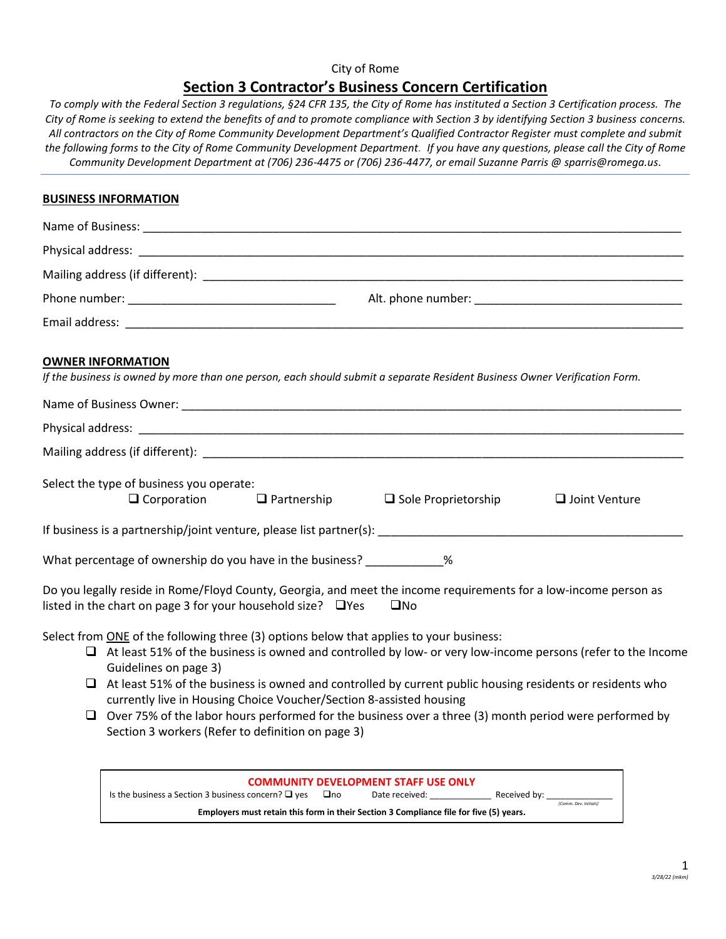## City of Rome **Section 3 Contractor's Business Concern Certification**

*To comply with the Federal Section 3 regulations, §24 CFR 135, the City of Rome has instituted a Section 3 Certification process. The City of Rome is seeking to extend the benefits of and to promote compliance with Section 3 by identifying Section 3 business concerns. All contractors on the City of Rome Community Development Department's Qualified Contractor Register must complete and submit the following forms to the City of Rome Community Development Department. If you have any questions, please call the City of Rome Community Development Department at (706) 236-4475 or (706) 236-4477, or email Suzanne Parris @ sparris@romega.us.*

### **BUSINESS INFORMATION**

| Physical address: entry and a strategies of the strategies of the strategies of the strategies of the strategies of the strategies of the strategies of the strategies of the strategies of the strategies of the strategies o          |  |  |  |  |
|-----------------------------------------------------------------------------------------------------------------------------------------------------------------------------------------------------------------------------------------|--|--|--|--|
|                                                                                                                                                                                                                                         |  |  |  |  |
| Alt. phone number: New York Contract and Contract of the Contract of the Contract of the Contract of the Contract of the Contract of the Contract of the Contract of the Contract of the Contract of the Contract of the Contr          |  |  |  |  |
|                                                                                                                                                                                                                                         |  |  |  |  |
| <b>OWNER INFORMATION</b><br>If the business is owned by more than one person, each should submit a separate Resident Business Owner Verification Form.                                                                                  |  |  |  |  |
|                                                                                                                                                                                                                                         |  |  |  |  |
|                                                                                                                                                                                                                                         |  |  |  |  |
|                                                                                                                                                                                                                                         |  |  |  |  |
| Select the type of business you operate:<br>$\Box$ Corporation $\Box$ Partnership<br>$\Box$ Sole Proprietorship<br>$\Box$ Joint Venture                                                                                                 |  |  |  |  |
|                                                                                                                                                                                                                                         |  |  |  |  |
| What percentage of ownership do you have in the business? ____________%                                                                                                                                                                 |  |  |  |  |
| Do you legally reside in Rome/Floyd County, Georgia, and meet the income requirements for a low-income person as<br>listed in the chart on page 3 for your household size? $\Box$ Yes<br>$\square$ No                                   |  |  |  |  |
| Select from ONE of the following three (3) options below that applies to your business:<br>$\Box$ At least 51% of the business is owned and controlled by low- or very low-income persons (refer to the Income<br>Guidelines on page 3) |  |  |  |  |
| At least 51% of the business is owned and controlled by current public housing residents or residents who<br>currently live in Housing Choice Voucher/Section 8-assisted housing                                                        |  |  |  |  |
| $\Box$ Over 75% of the labor hours performed for the business over a three (3) month period were performed by                                                                                                                           |  |  |  |  |



Section 3 workers (Refer to definition on page 3)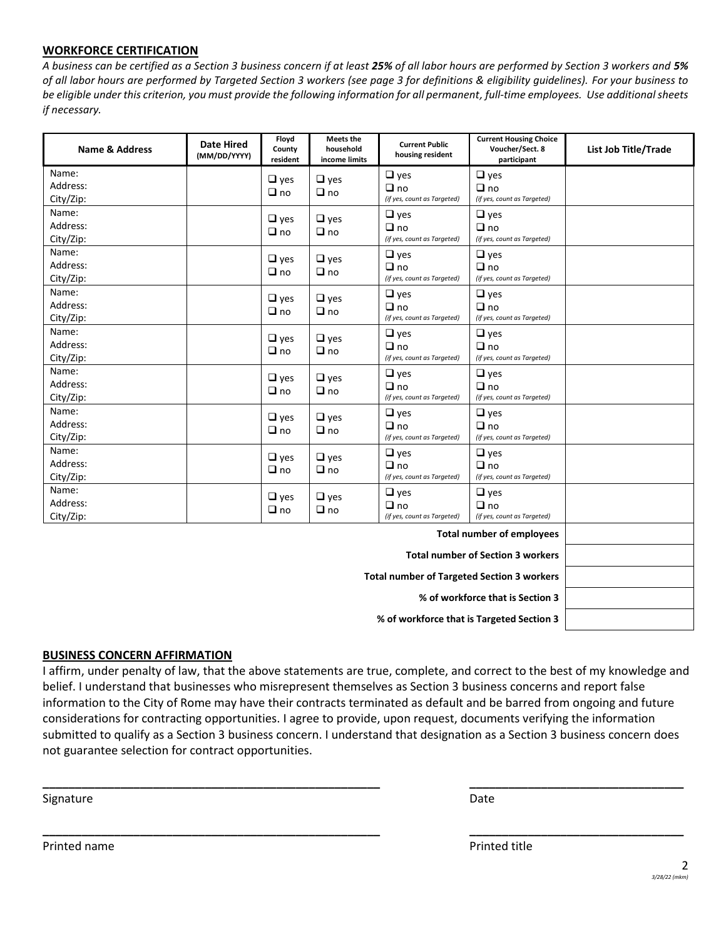### **WORKFORCE CERTIFICATION**

*A business can be certified as a Section 3 business concern if at least 25% of all labor hours are performed by Section 3 workers and 5% of all labor hours are performed by Targeted Section 3 workers (see page 3 for definitions & eligibility guidelines). For your business to be eligible under this criterion, you must provide the following information for all permanent, full-time employees. Use additional sheets if necessary.*

| <b>Name &amp; Address</b>      | <b>Date Hired</b><br>(MM/DD/YYYY) | Floyd<br>County<br>resident | <b>Meets the</b><br>household<br>income limits | <b>Current Public</b><br>housing resident              | <b>Current Housing Choice</b><br>Voucher/Sect. 8<br>participant | <b>List Job Title/Trade</b> |
|--------------------------------|-----------------------------------|-----------------------------|------------------------------------------------|--------------------------------------------------------|-----------------------------------------------------------------|-----------------------------|
| Name:<br>Address:<br>City/Zip: |                                   | $\Box$ yes<br>$\Box$ no     | $\Box$ yes<br>$\Box$ no                        | $\Box$ yes<br>$\Box$ no<br>(if yes, count as Targeted) | $\Box$ yes<br>$\Box$ no<br>(if yes, count as Targeted)          |                             |
| Name:<br>Address:<br>City/Zip: |                                   | $\Box$ yes<br>$\Box$ no     | $\Box$ yes<br>$\Box$ no                        | $\Box$ yes<br>$\Box$ no<br>(if yes, count as Targeted) | $\Box$ yes<br>$\Box$ no<br>(if yes, count as Targeted)          |                             |
| Name:<br>Address:<br>City/Zip: |                                   | $\Box$ yes<br>$\Box$ no     | $\Box$ yes<br>$\Box$ no                        | $\Box$ yes<br>$\Box$ no<br>(if yes, count as Targeted) | $\Box$ yes<br>$\Box$ no<br>(if yes, count as Targeted)          |                             |
| Name:<br>Address:<br>City/Zip: |                                   | $\Box$ yes<br>$\Box$ no     | $\Box$ yes<br>$\Box$ no                        | $\Box$ yes<br>$\Box$ no<br>(if yes, count as Targeted) | $\Box$ yes<br>$\Box$ no<br>(if yes, count as Targeted)          |                             |
| Name:<br>Address:<br>City/Zip: |                                   | $\Box$ yes<br>$\Box$ no     | $\Box$ yes<br>$\Box$ no                        | $\Box$ yes<br>$\Box$ no<br>(if yes, count as Targeted) | $\Box$ yes<br>$\Box$ no<br>(if yes, count as Targeted)          |                             |
| Name:<br>Address:<br>City/Zip: |                                   | $\Box$ yes<br>$\Box$ no     | $\Box$ yes<br>$\Box$ no                        | $\Box$ yes<br>$\Box$ no<br>(if yes, count as Targeted) | $\Box$ yes<br>$\Box$ no<br>(if yes, count as Targeted)          |                             |
| Name:<br>Address:<br>City/Zip: |                                   | $\Box$ yes<br>$\Box$ no     | $\Box$ yes<br>$\Box$ no                        | $\Box$ yes<br>$\Box$ no<br>(if yes, count as Targeted) | $\Box$ yes<br>$\Box$ no<br>(if yes, count as Targeted)          |                             |
| Name:<br>Address:<br>City/Zip: |                                   | $\Box$ yes<br>$\Box$ no     | $\Box$ yes<br>$\Box$ no                        | $\Box$ yes<br>$\Box$ no<br>(if yes, count as Targeted) | $\Box$ yes<br>$\Box$ no<br>(if yes, count as Targeted)          |                             |
| Name:<br>Address:<br>City/Zip: |                                   | $\Box$ yes<br>$\Box$ no     | $\Box$ yes<br>$\Box$ no                        | $\Box$ yes<br>$\Box$ no<br>(if yes, count as Targeted) | $\Box$ yes<br>$\Box$ no<br>(if yes, count as Targeted)          |                             |
|                                |                                   |                             |                                                |                                                        | <b>Total number of employees</b>                                |                             |
|                                |                                   |                             |                                                |                                                        | <b>Total number of Section 3 workers</b>                        |                             |
|                                |                                   |                             |                                                |                                                        |                                                                 |                             |

**% of workforce that is Section 3**

**% of workforce that is Targeted Section 3**

#### **BUSINESS CONCERN AFFIRMATION**

I affirm, under penalty of law, that the above statements are true, complete, and correct to the best of my knowledge and belief. I understand that businesses who misrepresent themselves as Section 3 business concerns and report false information to the City of Rome may have their contracts terminated as default and be barred from ongoing and future considerations for contracting opportunities. I agree to provide, upon request, documents verifying the information submitted to qualify as a Section 3 business concern. I understand that designation as a Section 3 business concern does not guarantee selection for contract opportunities.

**\_\_\_\_\_\_\_\_\_\_\_\_\_\_\_\_\_\_\_\_\_\_\_\_\_\_\_\_\_\_\_\_\_\_\_\_\_\_\_\_\_\_\_\_\_\_\_\_\_\_\_\_ \_\_\_\_\_\_\_\_\_\_\_\_\_\_\_\_\_\_\_\_\_\_\_\_\_\_\_\_\_\_\_\_\_**

**\_\_\_\_\_\_\_\_\_\_\_\_\_\_\_\_\_\_\_\_\_\_\_\_\_\_\_\_\_\_\_\_\_\_\_\_\_\_\_\_\_\_\_\_\_\_\_\_\_\_\_\_ \_\_\_\_\_\_\_\_\_\_\_\_\_\_\_\_\_\_\_\_\_\_\_\_\_\_\_\_\_\_\_\_\_**

Signature Date Date of the Contract of the Contract of the Contract of the Date Date Date

Printed name **Printed in the Prince of the Prince of the Printed title** Printed title